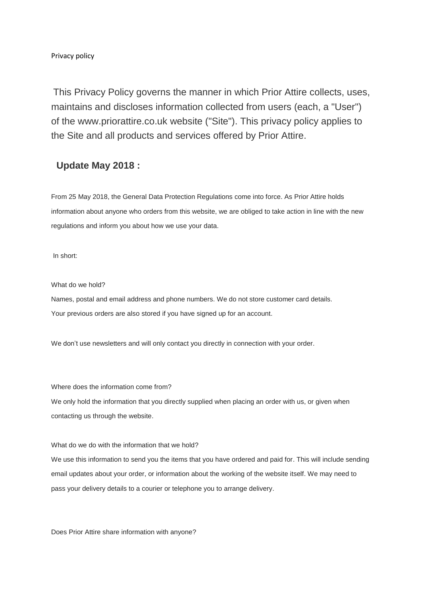Privacy policy

This Privacy Policy governs the manner in which Prior Attire collects, uses, maintains and discloses information collected from users (each, a "User") of the www.priorattire.co.uk website ("Site"). This privacy policy applies to the Site and all products and services offered by Prior Attire.

## **Update May 2018 :**

From 25 May 2018, the General Data Protection Regulations come into force. As Prior Attire holds information about anyone who orders from this website, we are obliged to take action in line with the new regulations and inform you about how we use your data.

In short:

What do we hold?

Names, postal and email address and phone numbers. We do not store customer card details. Your previous orders are also stored if you have signed up for an account.

We don't use newsletters and will only contact you directly in connection with your order.

Where does the information come from?

We only hold the information that you directly supplied when placing an order with us, or given when contacting us through the website.

What do we do with the information that we hold?

We use this information to send you the items that you have ordered and paid for. This will include sending email updates about your order, or information about the working of the website itself. We may need to pass your delivery details to a courier or telephone you to arrange delivery.

Does Prior Attire share information with anyone?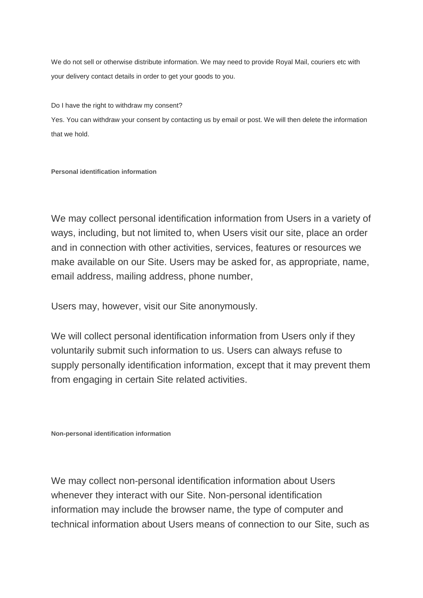We do not sell or otherwise distribute information. We may need to provide Royal Mail, couriers etc with your delivery contact details in order to get your goods to you.

Do I have the right to withdraw my consent?

Yes. You can withdraw your consent by contacting us by email or post. We will then delete the information that we hold.

## **Personal identification information**

We may collect personal identification information from Users in a variety of ways, including, but not limited to, when Users visit our site, place an order and in connection with other activities, services, features or resources we make available on our Site. Users may be asked for, as appropriate, name, email address, mailing address, phone number,

Users may, however, visit our Site anonymously.

We will collect personal identification information from Users only if they voluntarily submit such information to us. Users can always refuse to supply personally identification information, except that it may prevent them from engaging in certain Site related activities.

**Non-personal identification information**

We may collect non-personal identification information about Users whenever they interact with our Site. Non-personal identification information may include the browser name, the type of computer and technical information about Users means of connection to our Site, such as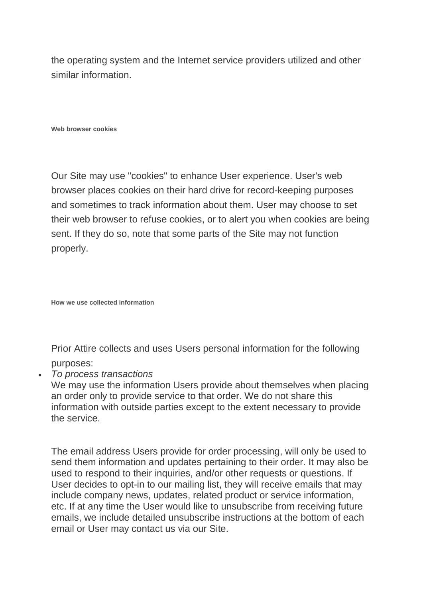the operating system and the Internet service providers utilized and other similar information.

**Web browser cookies**

Our Site may use "cookies" to enhance User experience. User's web browser places cookies on their hard drive for record-keeping purposes and sometimes to track information about them. User may choose to set their web browser to refuse cookies, or to alert you when cookies are being sent. If they do so, note that some parts of the Site may not function properly.

**How we use collected information**

Prior Attire collects and uses Users personal information for the following purposes:

• *To process transactions*

We may use the information Users provide about themselves when placing an order only to provide service to that order. We do not share this information with outside parties except to the extent necessary to provide the service.

The email address Users provide for order processing, will only be used to send them information and updates pertaining to their order. It may also be used to respond to their inquiries, and/or other requests or questions. If User decides to opt-in to our mailing list, they will receive emails that may include company news, updates, related product or service information, etc. If at any time the User would like to unsubscribe from receiving future emails, we include detailed unsubscribe instructions at the bottom of each email or User may contact us via our Site.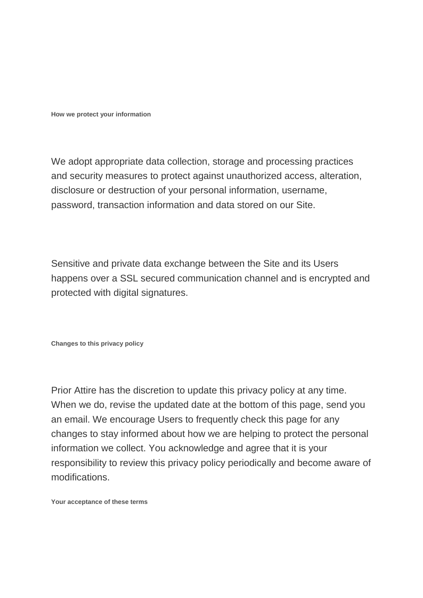**How we protect your information**

We adopt appropriate data collection, storage and processing practices and security measures to protect against unauthorized access, alteration, disclosure or destruction of your personal information, username, password, transaction information and data stored on our Site.

Sensitive and private data exchange between the Site and its Users happens over a SSL secured communication channel and is encrypted and protected with digital signatures.

**Changes to this privacy policy**

Prior Attire has the discretion to update this privacy policy at any time. When we do, revise the updated date at the bottom of this page, send you an email. We encourage Users to frequently check this page for any changes to stay informed about how we are helping to protect the personal information we collect. You acknowledge and agree that it is your responsibility to review this privacy policy periodically and become aware of modifications.

**Your acceptance of these terms**